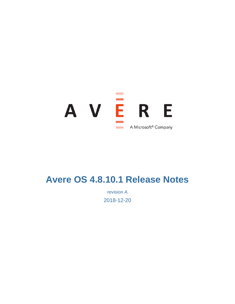

# **Avere OS 4.8.10.1 Release Notes**

revision A 2018-12-20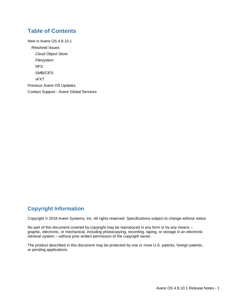### **Table of Contents**

[New in Avere OS 4.8.10.1](#page-2-0) [Resolved Issues](#page-2-1) [Cloud Object Store](#page-2-2) [Filesystem](#page-2-3) [NFS](#page-2-4) [SMB/CIFS](#page-2-5) [vFXT](#page-2-6) [Previous Avere OS Updates](#page-3-0) Contact Support - [Avere Global Services](#page-3-1)

### **Copyright Information**

Copyright © 2018 Avere Systems, Inc. All rights reserved. Specifications subject to change without notice.

No part of this document covered by copyright may be reproduced in any form or by any means – graphic, electronic, or mechanical, including photocopying, recording, taping, or storage in an electronic retrieval system – without prior written permission of the copyright owner.

The product described in this document may be protected by one or more U.S. patents, foreign patents, or pending applications.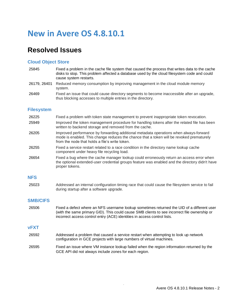## <span id="page-2-0"></span>**New in Avere OS 4.8.10.1**

### <span id="page-2-1"></span>**Resolved Issues**

#### <span id="page-2-2"></span>**Cloud Object Store**

- 25845 Fixed a problem in the cache file system that caused the process that writes data to the cache disks to stop. This problem affected a database used by the cloud filesystem code and could cause system restarts.
- 26179, 26401 Reduced memory consumption by improving management in the cloud module memory system.
- 26469 Fixed an issue that could cause directory segments to become inaccessible after an upgrade, thus blocking accesses to multiple entries in the directory.

#### <span id="page-2-3"></span>**Filesystem**

- 26225 Fixed a problem with token state management to prevent inappropriate token revocation.
- 25949 Improved the token management procedure for handling tokens after the related file has been written to backend storage and removed from the cache.
- 26205 Improved performance by forwarding additional metadata operations when always-forward mode is enabled. This change reduces the chance that a token will be revoked prematurely from the node that holds a file's write token.
- 26255 Fixed a service restart related to a race condition in the directory name lookup cache component under heavy file recycling load.
- 26654 Fixed a bug where the cache manager lookup could erroneously return an access error when the optional extended-user credential groups feature was enabled and the directory didn't have proper tokens.

#### <span id="page-2-4"></span>**NFS**

25023 Addressed an internal configuration timing race that could cause the filesystem service to fail during startup after a software upgrade.

### <span id="page-2-5"></span>**SMB/CIFS**

26506 Fixed a defect where an NFS username lookup sometimes returned the UID of a different user (with the same primary GID). This could cause SMB clients to see incorrect file ownership or incorrect access control entry (ACE) identities in access control lists.

#### <span id="page-2-6"></span>**vFXT**

- 26592 Addressed a problem that caused a service restart when attempting to look up network configuration in GCE projects with large numbers of virtual machines.
- 26595 Fixed an issue where VM instance lookup failed when the region information returned by the GCE API did not always include zones for each region.